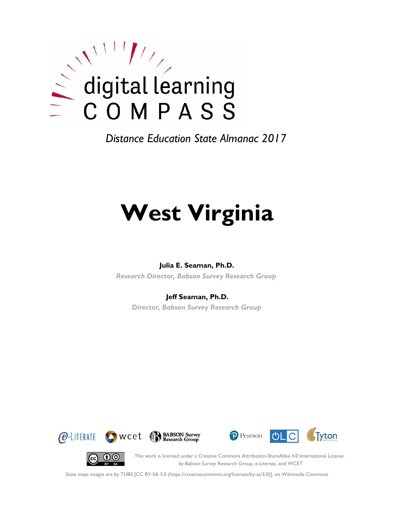

*Distance Education State Almanac 2017*

# **West Virginia**

#### **Julia E. Seaman, Ph.D.**

*Research Director, Babson Survey Research Group*

#### **Jeff Seaman, Ph.D.**

*Director, Babson Survey Research Group*







(cc)

This work is licensed under a Creative Commons Attribution-ShareAlike 4.0 International License. by Babson Survey Research Group, e-Literate, and WCET

State maps images are by TUBS [CC BY-SA 3.0 (https://creativecommons.org/licenses/by-sa/3.0)], via Wikimedia Commons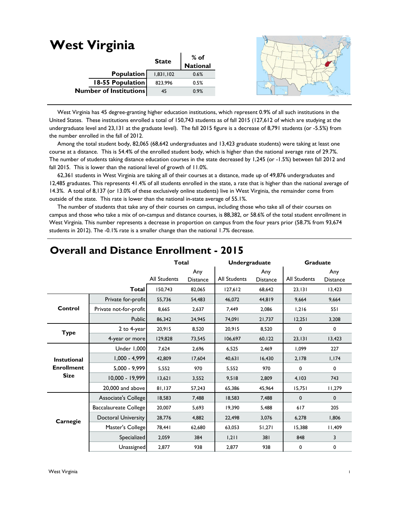#### **West Virginia State % of National** 1,831,102 0.6% 823,996 0.5% 45 0.9% **Population 18-55 Population Number of Institutions**

 West Virginia has 45 degree-granting higher education institutions, which represent 0.9% of all such institutions in the United States. These institutions enrolled a total of 150,743 students as of fall 2015 (127,612 of which are studying at the undergraduate level and 23,131 at the graduate level). The fall 2015 figure is a decrease of 8,791 students (or -5.5%) from the number enrolled in the fall of 2012.

 Among the total student body, 82,065 (68,642 undergraduates and 13,423 graduate students) were taking at least one course at a distance. This is 54.4% of the enrolled student body, which is higher than the national average rate of 29.7%. The number of students taking distance education courses in the state decreased by 1,245 (or -1.5%) between fall 2012 and fall 2015. This is lower than the national level of growth of 11.0%.

 62,361 students in West Virginia are taking all of their courses at a distance, made up of 49,876 undergraduates and 12,485 graduates. This represents 41.4% of all students enrolled in the state, a rate that is higher than the national average of 14.3%. A total of 8,137 (or 13.0% of these exclusively online students) live in West Virginia, the remainder come from outside of the state. This rate is lower than the national in-state average of 55.1%.

 The number of students that take any of their courses on campus, including those who take all of their courses on campus and those who take a mix of on-campus and distance courses, is 88,382, or 58.6% of the total student enrollment in West Virginia. This number represents a decrease in proportion on campus from the four years prior (58.7% from 93,674 students in 2012). The -0.1% rate is a smaller change than the national 1.7% decrease.

|                   |                              | <b>Total</b>        |                        | <b>Undergraduate</b> |                        | <b>Graduate</b> |                        |
|-------------------|------------------------------|---------------------|------------------------|----------------------|------------------------|-----------------|------------------------|
|                   |                              | <b>All Students</b> | Any<br><b>Distance</b> | <b>All Students</b>  | Any<br><b>Distance</b> | All Students    | Any<br><b>Distance</b> |
|                   | Total                        | 150.743             | 82.065                 | 127,612              | 68.642                 | 23,131          | 13.423                 |
|                   | Private for-profit           | 55,736              | 54,483                 | 46.072               | 44,819                 | 9.664           | 9,664                  |
| Control           | Private not-for-profit       | 8,665               | 2,637                  | 7,449                | 2,086                  | 1,216           | 551                    |
|                   | Public                       | 86,342              | 24,945                 | 74,091               | 21,737                 | 12,251          | 3,208                  |
| <b>Type</b>       | 2 to 4-year                  | 20,915              | 8,520                  | 20,915               | 8,520                  | 0               | $\mathbf 0$            |
|                   | 4-year or more               | 129,828             | 73,545                 | 106,697              | 60, 122                | 23,131          | 13,423                 |
|                   | <b>Under 1,000</b>           | 7,624               | 2,696                  | 6,525                | 2,469                  | 1,099           | 227                    |
| Instutional       | $1,000 - 4,999$              | 42.809              | 17,604                 | 40,631               | 16,430                 | 2,178           | 1,174                  |
| <b>Enrollment</b> | 5,000 - 9,999                | 5,552               | 970                    | 5,552                | 970                    | 0               | $\mathbf 0$            |
| <b>Size</b>       | 10,000 - 19,999              | 13,621              | 3,552                  | 9,518                | 2,809                  | 4,103           | 743                    |
|                   | 20,000 and above             | 81,137              | 57,243                 | 65,386               | 45,964                 | 15,751          | 11,279                 |
|                   | Associate's College          | 18,583              | 7,488                  | 18,583               | 7,488                  | $\mathbf 0$     | $\mathbf 0$            |
|                   | <b>Baccalaureate College</b> | 20,007              | 5,693                  | 19,390               | 5,488                  | 617             | 205                    |
| Carnegie          | <b>Doctoral University</b>   | 28,776              | 4,882                  | 22,498               | 3,076                  | 6,278           | 1,806                  |
|                   | Master's College             | 78,441              | 62,680                 | 63,053               | 51,271                 | 15,388          | 11,409                 |
|                   | Specialized                  | 2,059               | 384                    | 1,211                | 381                    | 848             | 3                      |
|                   | Unassigned                   | 2,877               | 938                    | 2,877                | 938                    | 0               | 0                      |

## **Overall and Distance Enrollment - 2015**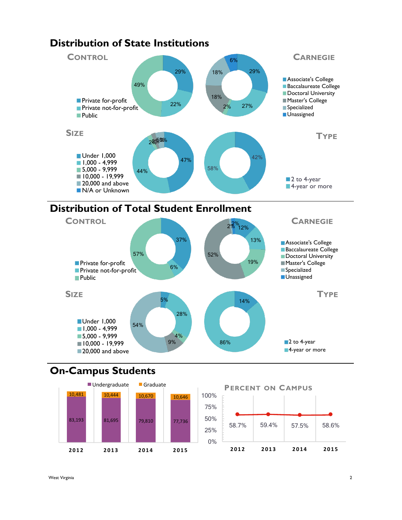

# **Distribution of Total Student Enrollment**



## **On-Campus Students**



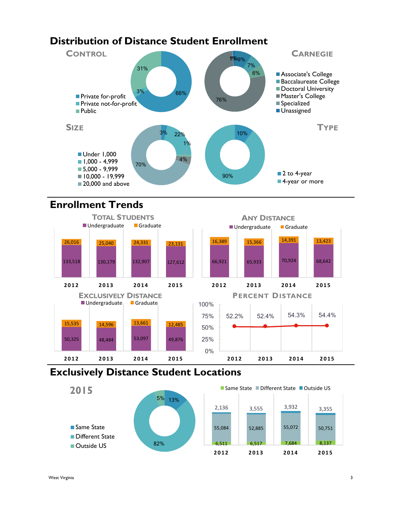# **Distribution of Distance Student Enrollment**



# **Enrollment Trends**



## **Exclusively Distance Student Locations**